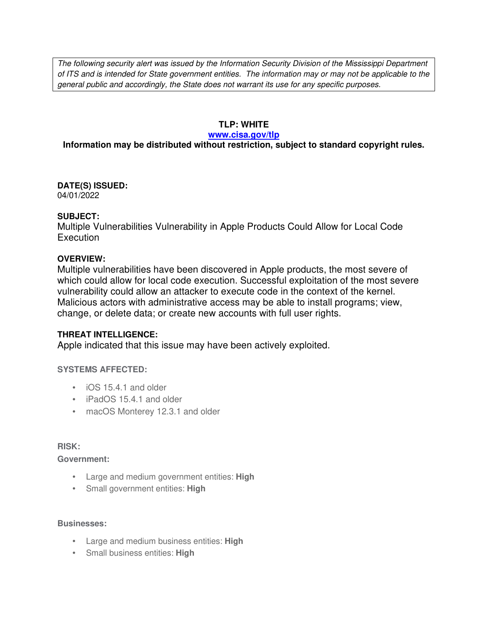The following security alert was issued by the Information Security Division of the Mississippi Department of ITS and is intended for State government entities. The information may or may not be applicable to the general public and accordingly, the State does not warrant its use for any specific purposes.

# **TLP: WHITE**

#### **www.cisa.gov/tlp**

# **Information may be distributed without restriction, subject to standard copyright rules.**

**DATE(S) ISSUED:** 04/01/2022

## **SUBJECT:**

Multiple Vulnerabilities Vulnerability in Apple Products Could Allow for Local Code **Execution** 

## **OVERVIEW:**

Multiple vulnerabilities have been discovered in Apple products, the most severe of which could allow for local code execution. Successful exploitation of the most severe vulnerability could allow an attacker to execute code in the context of the kernel. Malicious actors with administrative access may be able to install programs; view, change, or delete data; or create new accounts with full user rights.

## **THREAT INTELLIGENCE:**

Apple indicated that this issue may have been actively exploited.

## **SYSTEMS AFFECTED:**

- iOS 15.4.1 and older
- iPadOS 15.4.1 and older
- macOS Monterey 12.3.1 and older

#### **RISK:**

## **Government:**

- Large and medium government entities: **High**
- Small government entities: **High**

#### **Businesses:**

- Large and medium business entities: **High**
- Small business entities: **High**